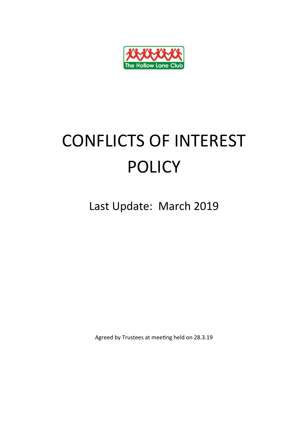

## CONFLICTS OF INTEREST POLICY

Last Update: March 2019

Agreed by Trustees at meeting held on 28.3.19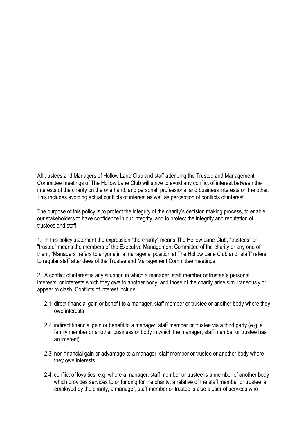All trustees and Managers of Hollow Lane Club and staff attending the Trustee and Management Committee meetings of The Hollow Lane Club will strive to avoid any conflict of interest between the interests of the charity on the one hand, and personal, professional and business interests on the other. This includes avoiding actual conflicts of interest as well as perception of conflicts of interest.

The purpose of this policy is to protect the integrity of the charity's decision making process, to enable our stakeholders to have confidence in our integrity, and to protect the integrity and reputation of trustees and staff.

1. In this policy statement the expression "the charity" means The Hollow Lane Club, "trustees" or "trustee" means the members of the Executive Management Committee of the charity or any one of them, "Managers" refers to anyone in a managerial position at The Hollow Lane Club and "staff" refers to regular staff attendees of the Trustee and Management Committee meetings.

2. A conflict of interest is any situation in which a manager, staff member or trustee`s personal interests, or interests which they owe to another body, and those of the charity arise simultaneously or appear to clash. Conflicts of interest include:

- 2.1. direct financial gain or benefit to a manager, staff member or trustee or another body where they owe interests
- 2.2. indirect financial gain or benefit to a manager, staff member or trustee via a third party (e.g. a family member or another business or body in which the manager, staff member or trustee has an interest)
- 2.3. non-financial gain or advantage to a manager, staff member or trustee or another body where they owe interests
- 2.4. conflict of loyalties, e.g. where a manager, staff member or trustee is a member of another body which provides services to or funding for the charity; a relative of the staff member or trustee is employed by the charity; a manager, staff member or trustee is also a user of services who